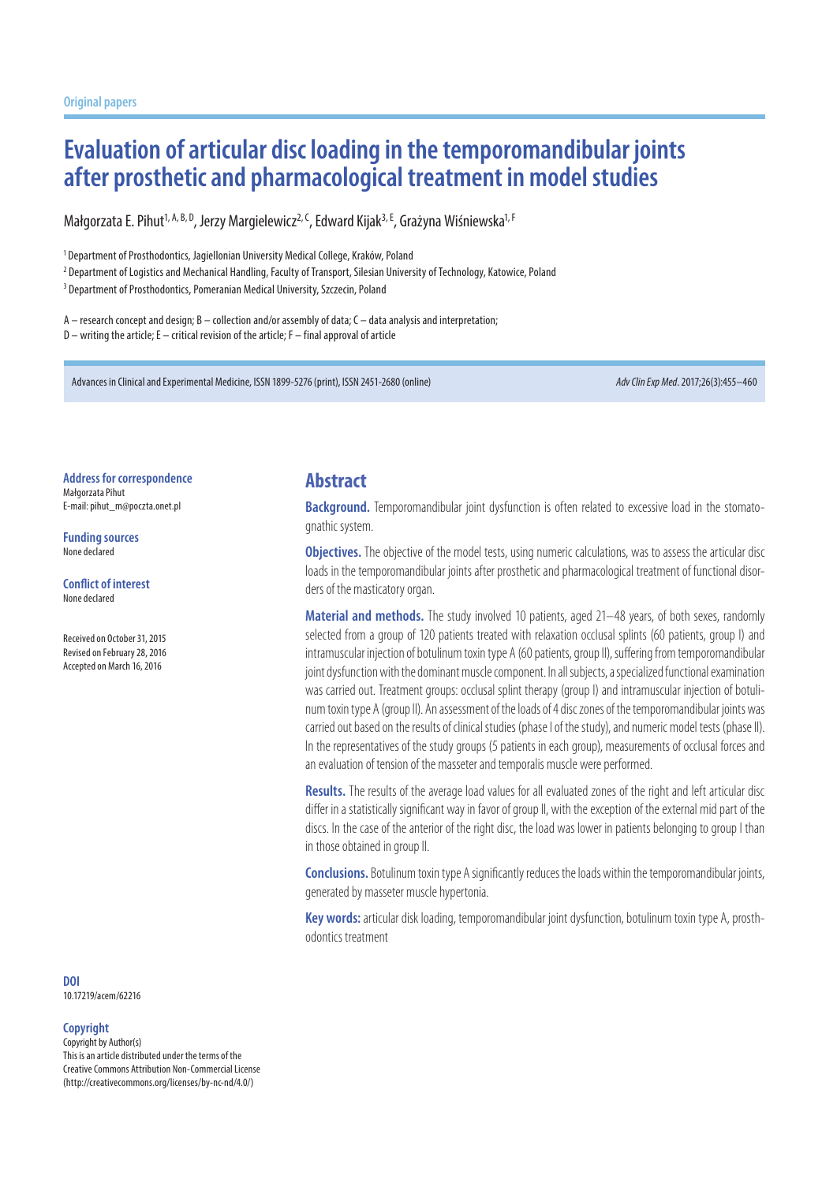# **Evaluation of articular disc loading in the temporomandibular joints after prosthetic and pharmacological treatment in model studies**

Małgorzata E. Pihut<sup>1, A, B, D</sup>, Jerzy Margielewicz<sup>2, C</sup>, Edward Kijak<sup>3, E</sup>, Grażyna Wiśniewska<sup>1, F</sup>

<sup>1</sup> Department of Prosthodontics, Jagiellonian University Medical College, Kraków, Poland

2 Department of Logistics and Mechanical Handling, Faculty of Transport, Silesian University of Technology, Katowice, Poland

<sup>3</sup> Department of Prosthodontics, Pomeranian Medical University, Szczecin, Poland

A – research concept and design; B – collection and/or assembly of data; C – data analysis and interpretation; D – writing the article; E – critical revision of the article; F – final approval of article

Advances in Clinical and Experimental Medicine, ISSN 1899-5276 (print), ISSN 2451-2680 (online) *Adv Clin Exp Med*. 2017;26(3):455–460

**Address for correspondence** Małgorzata Pihut E-mail: pihut\_m@poczta.onet.pl

**Funding sources** None declared

#### **Conflict of interest**

None declared

Received on October 31, 2015 Revised on February 28, 2016 Accepted on March 16, 2016

#### **Abstract**

**Background.** Temporomandibular joint dysfunction is often related to excessive load in the stomatognathic system.

**Objectives.** The objective of the model tests, using numeric calculations, was to assess the articular disc loads in the temporomandibular joints after prosthetic and pharmacological treatment of functional disorders of the masticatory organ.

**Material and methods.** The study involved 10 patients, aged 21–48 years, of both sexes, randomly selected from a group of 120 patients treated with relaxation occlusal splints (60 patients, group I) and intramuscular injection of botulinum toxin type A (60 patients, group II), suffering from temporomandibular joint dysfunction with the dominant muscle component. In all subjects, a specialized functional examination was carried out. Treatment groups: occlusal splint therapy (group I) and intramuscular injection of botulinum toxin type A (group II). An assessment of the loads of 4 disc zones of the temporomandibular joints was carried out based on the results of clinical studies (phase I of the study), and numeric model tests (phase II). In the representatives of the study groups (5 patients in each group), measurements of occlusal forces and an evaluation of tension of the masseter and temporalis muscle were performed.

**Results.** The results of the average load values for all evaluated zones of the right and left articular disc differ in a statistically significant way in favor of group II, with the exception of the external mid part of the discs. In the case of the anterior of the right disc, the load was lower in patients belonging to group I than in those obtained in group II.

**Conclusions.** Botulinum toxin type A significantly reduces the loads within the temporomandibular joints, generated by masseter muscle hypertonia.

**Key words:** articular disk loading, temporomandibular joint dysfunction, botulinum toxin type A, prosthodontics treatment

**DOI** 10.17219/acem/62216

#### **Copyright**

Copyright by Author(s) This is an article distributed under the terms of the Creative Commons Attribution Non-Commercial License (http://creativecommons.org/licenses/by-nc-nd/4.0/)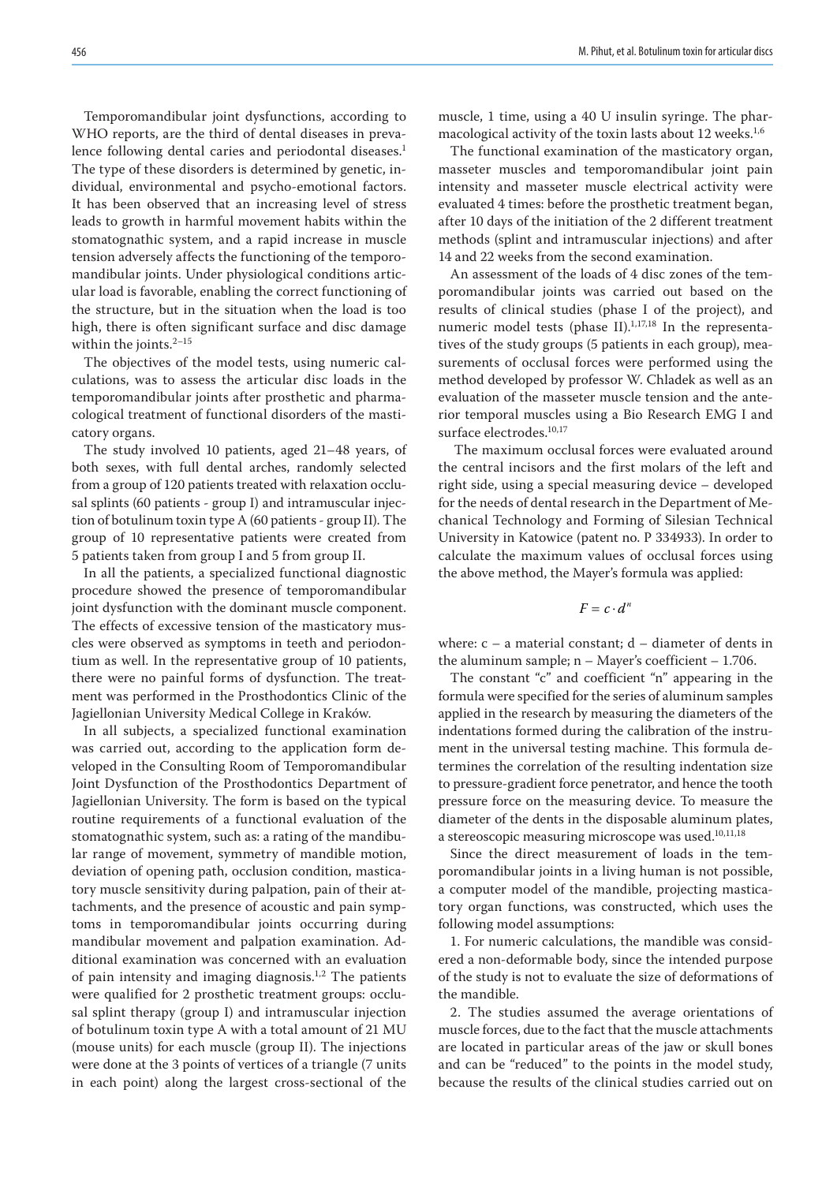Temporomandibular joint dysfunctions, according to WHO reports, are the third of dental diseases in prevalence following dental caries and periodontal diseases.<sup>1</sup> The type of these disorders is determined by genetic, individual, environmental and psycho-emotional factors. It has been observed that an increasing level of stress leads to growth in harmful movement habits within the stomatognathic system, and a rapid increase in muscle tension adversely affects the functioning of the temporomandibular joints. Under physiological conditions articular load is favorable, enabling the correct functioning of the structure, but in the situation when the load is too high, there is often significant surface and disc damage within the joints. $2-15$ 

The objectives of the model tests, using numeric calculations, was to assess the articular disc loads in the temporomandibular joints after prosthetic and pharmacological treatment of functional disorders of the masticatory organs.

The study involved 10 patients, aged 21–48 years, of both sexes, with full dental arches, randomly selected from a group of 120 patients treated with relaxation occlusal splints (60 patients - group I) and intramuscular injection of botulinum toxin type A (60 patients - group II). The group of 10 representative patients were created from 5 patients taken from group I and 5 from group II.

In all the patients, a specialized functional diagnostic procedure showed the presence of temporomandibular joint dysfunction with the dominant muscle component. The effects of excessive tension of the masticatory muscles were observed as symptoms in teeth and periodontium as well. In the representative group of 10 patients, there were no painful forms of dysfunction. The treatment was performed in the Prosthodontics Clinic of the Jagiellonian University Medical College in Kraków.

In all subjects, a specialized functional examination was carried out, according to the application form developed in the Consulting Room of Temporomandibular Joint Dysfunction of the Prosthodontics Department of Jagiellonian University. The form is based on the typical routine requirements of a functional evaluation of the stomatognathic system, such as: a rating of the mandibular range of movement, symmetry of mandible motion, deviation of opening path, occlusion condition, masticatory muscle sensitivity during palpation, pain of their attachments, and the presence of acoustic and pain symptoms in temporomandibular joints occurring during mandibular movement and palpation examination. Additional examination was concerned with an evaluation of pain intensity and imaging diagnosis.<sup>1,2</sup> The patients were qualified for 2 prosthetic treatment groups: occlusal splint therapy (group I) and intramuscular injection of botulinum toxin type A with a total amount of 21 MU (mouse units) for each muscle (group II). The injections were done at the 3 points of vertices of a triangle (7 units in each point) along the largest cross-sectional of the

muscle, 1 time, using a 40 U insulin syringe. The pharmacological activity of the toxin lasts about 12 weeks.<sup>1,6</sup>

The functional examination of the masticatory organ, masseter muscles and temporomandibular joint pain intensity and masseter muscle electrical activity were evaluated 4 times: before the prosthetic treatment began, after 10 days of the initiation of the 2 different treatment methods (splint and intramuscular injections) and after 14 and 22 weeks from the second examination.

An assessment of the loads of 4 disc zones of the temporomandibular joints was carried out based on the results of clinical studies (phase I of the project), and numeric model tests (phase II). $1,17,18$  In the representatives of the study groups (5 patients in each group), measurements of occlusal forces were performed using the method developed by professor W. Chladek as well as an evaluation of the masseter muscle tension and the anterior temporal muscles using a Bio Research EMG I and surface electrodes.<sup>10,17</sup>

 The maximum occlusal forces were evaluated around the central incisors and the first molars of the left and right side, using a special measuring device – developed for the needs of dental research in the Department of Mechanical Technology and Forming of Silesian Technical University in Katowice (patent no. P 334933). In order to calculate the maximum values of occlusal forces using the above method, the Mayer's formula was applied:

$$
F=c\cdot d^n
$$

where:  $c - a$  material constant;  $d -$  diameter of dents in the aluminum sample; n – Mayer's coefficient – 1.706.

The constant "c" and coefficient "n" appearing in the formula were specified for the series of aluminum samples applied in the research by measuring the diameters of the indentations formed during the calibration of the instrument in the universal testing machine. This formula determines the correlation of the resulting indentation size to pressure-gradient force penetrator, and hence the tooth pressure force on the measuring device. To measure the diameter of the dents in the disposable aluminum plates, a stereoscopic measuring microscope was used.<sup>10,11,18</sup>

Since the direct measurement of loads in the temporomandibular joints in a living human is not possible, a computer model of the mandible, projecting masticatory organ functions, was constructed, which uses the following model assumptions:

1. For numeric calculations, the mandible was considered a non-deformable body, since the intended purpose of the study is not to evaluate the size of deformations of the mandible.

2. The studies assumed the average orientations of muscle forces, due to the fact that the muscle attachments are located in particular areas of the jaw or skull bones and can be "reduced" to the points in the model study, because the results of the clinical studies carried out on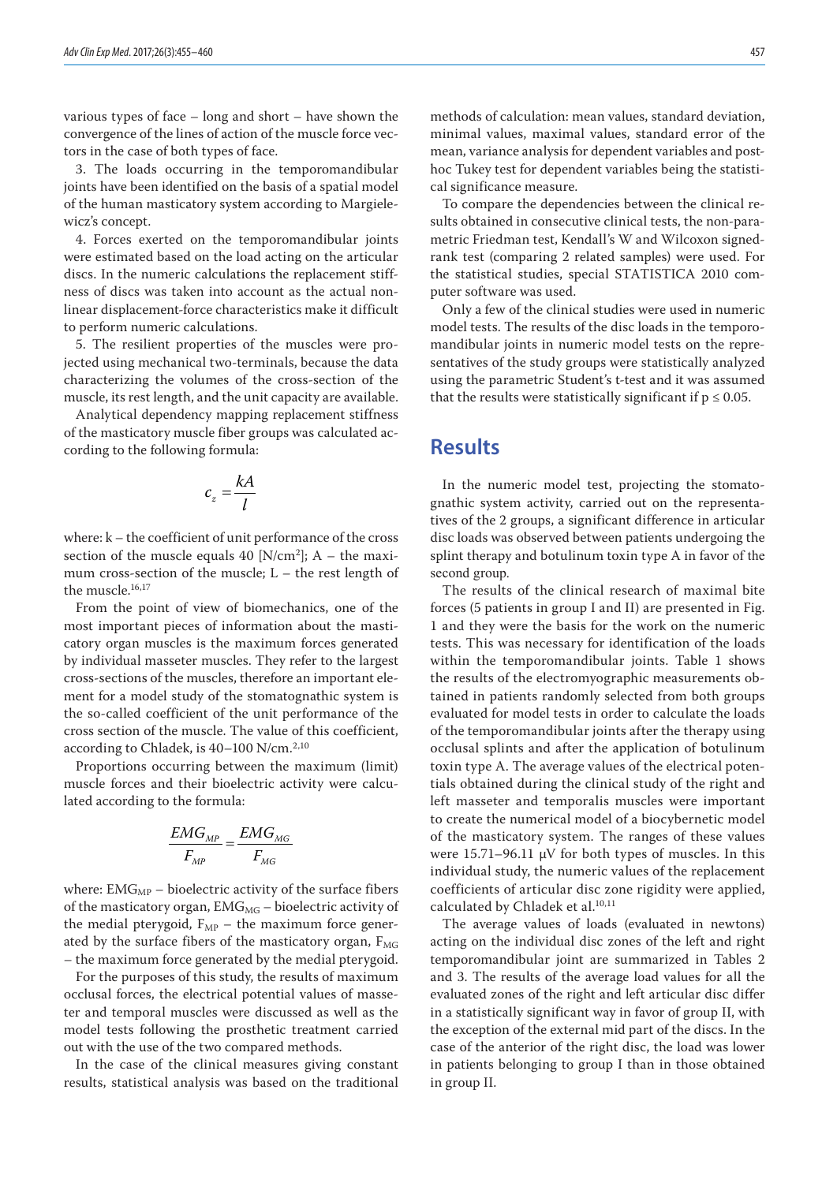various types of face – long and short – have shown the convergence of the lines of action of the muscle force vectors in the case of both types of face.

3. The loads occurring in the temporomandibular joints have been identified on the basis of a spatial model of the human masticatory system according to Margielewicz's concept.

4. Forces exerted on the temporomandibular joints were estimated based on the load acting on the articular discs. In the numeric calculations the replacement stiffness of discs was taken into account as the actual nonlinear displacement-force characteristics make it difficult to perform numeric calculations.

5. The resilient properties of the muscles were projected using mechanical two-terminals, because the data characterizing the volumes of the cross-section of the muscle, its rest length, and the unit capacity are available.

Analytical dependency mapping replacement stiffness of the masticatory muscle fiber groups was calculated according to the following formula:

$$
c_z = \frac{kA}{l}
$$

where: k – the coefficient of unit performance of the cross section of the muscle equals 40 [N/cm<sup>2</sup>];  $A$  – the maximum cross-section of the muscle; L – the rest length of the muscle.<sup>16,17</sup>

From the point of view of biomechanics, one of the most important pieces of information about the masticatory organ muscles is the maximum forces generated by individual masseter muscles. They refer to the largest cross-sections of the muscles, therefore an important element for a model study of the stomatognathic system is the so-called coefficient of the unit performance of the cross section of the muscle. The value of this coefficient, according to Chladek, is 40-100 N/cm.<sup>2,10</sup>

Proportions occurring between the maximum (limit) muscle forces and their bioelectric activity were calculated according to the formula:

$$
\frac{EMG_{_{MP}}}{F_{_{MP}}} = \frac{EMG_{_{MG}}}{F_{_{MG}}}
$$

where:  $EMG<sub>MP</sub>$  – bioelectric activity of the surface fibers of the masticatory organ,  $EMG_{MG}$  – bioelectric activity of the medial pterygoid,  $F_{MP}$  – the maximum force generated by the surface fibers of the masticatory organ,  $F_{MG}$ – the maximum force generated by the medial pterygoid.

For the purposes of this study, the results of maximum occlusal forces, the electrical potential values of masseter and temporal muscles were discussed as well as the model tests following the prosthetic treatment carried out with the use of the two compared methods.

In the case of the clinical measures giving constant results, statistical analysis was based on the traditional

methods of calculation: mean values, standard deviation, minimal values, maximal values, standard error of the mean, variance analysis for dependent variables and posthoc Tukey test for dependent variables being the statistical significance measure.

To compare the dependencies between the clinical results obtained in consecutive clinical tests, the non-parametric Friedman test, Kendall's W and Wilcoxon signedrank test (comparing 2 related samples) were used. For the statistical studies, special STATISTICA 2010 computer software was used.

Only a few of the clinical studies were used in numeric model tests. The results of the disc loads in the temporomandibular joints in numeric model tests on the representatives of the study groups were statistically analyzed using the parametric Student's t-test and it was assumed that the results were statistically significant if  $p \leq 0.05$ .

#### **Results**

In the numeric model test, projecting the stomatognathic system activity, carried out on the representatives of the 2 groups, a significant difference in articular disc loads was observed between patients undergoing the splint therapy and botulinum toxin type A in favor of the second group.

The results of the clinical research of maximal bite forces (5 patients in group I and II) are presented in Fig. 1 and they were the basis for the work on the numeric tests. This was necessary for identification of the loads within the temporomandibular joints. Table 1 shows the results of the electromyographic measurements obtained in patients randomly selected from both groups evaluated for model tests in order to calculate the loads of the temporomandibular joints after the therapy using occlusal splints and after the application of botulinum toxin type A. The average values of the electrical potentials obtained during the clinical study of the right and left masseter and temporalis muscles were important to create the numerical model of a biocybernetic model of the masticatory system. The ranges of these values were 15.71–96.11 μV for both types of muscles. In this individual study, the numeric values of the replacement coefficients of articular disc zone rigidity were applied, calculated by Chladek et al.<sup>10,11</sup>

The average values of loads (evaluated in newtons) acting on the individual disc zones of the left and right temporomandibular joint are summarized in Tables 2 and 3. The results of the average load values for all the evaluated zones of the right and left articular disc differ in a statistically significant way in favor of group II, with the exception of the external mid part of the discs. In the case of the anterior of the right disc, the load was lower in patients belonging to group I than in those obtained in group II.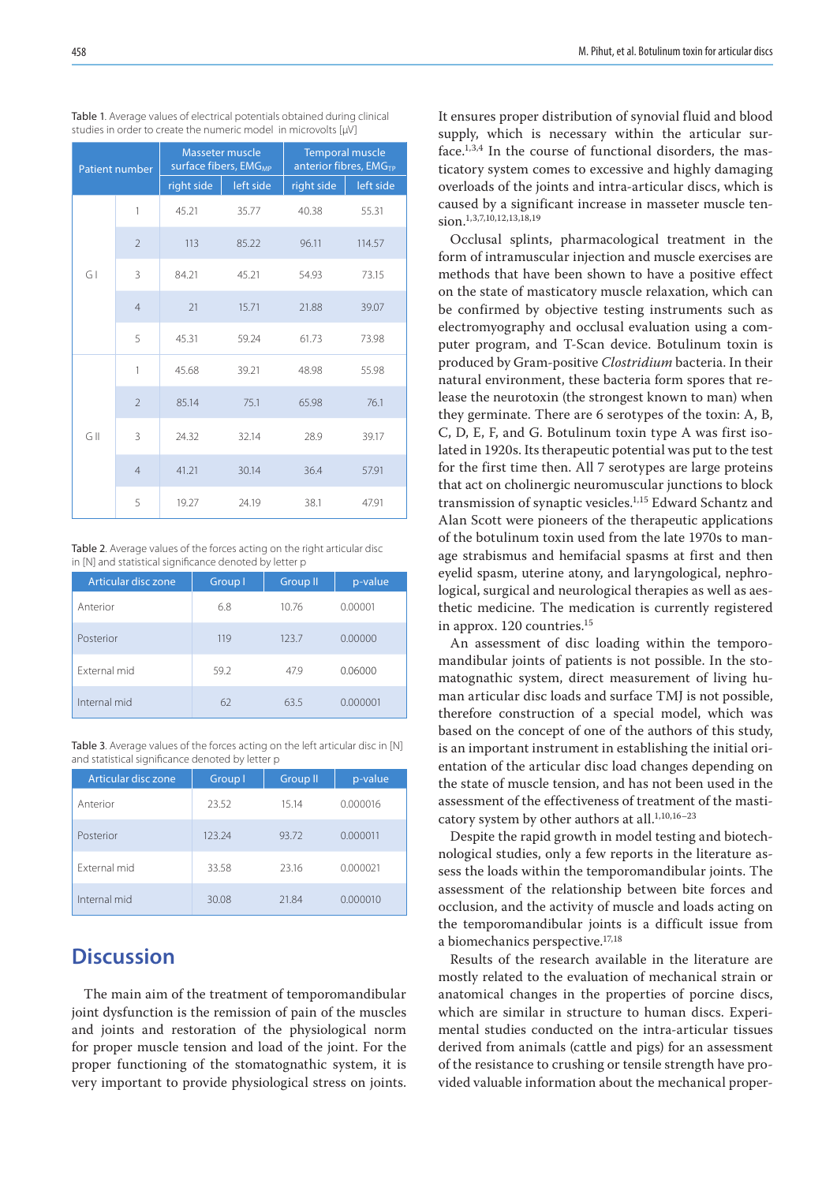| <b>Patient number</b> |                          | Masseter muscle<br>surface fibers, EMG <sub>MP</sub> |           | <b>Temporal muscle</b><br>anterior fibres, EMG <sub>TP</sub> |           |
|-----------------------|--------------------------|------------------------------------------------------|-----------|--------------------------------------------------------------|-----------|
|                       |                          | right side                                           | left side | right side                                                   | left side |
| GI                    | 1                        | 45.21                                                | 35.77     | 40.38                                                        | 55.31     |
|                       | $\overline{2}$           | 113                                                  | 85.22     | 96.11                                                        | 114.57    |
|                       | 3                        | 84.21                                                | 45.21     | 54.93                                                        | 73.15     |
|                       | $\overline{4}$           | 21                                                   | 15.71     | 21.88                                                        | 39.07     |
|                       | 5                        | 45.31                                                | 59.24     | 61.73                                                        | 73.98     |
| GII                   | 1                        | 45.68                                                | 39.21     | 48.98                                                        | 55.98     |
|                       | $\overline{\phantom{a}}$ | 85.14                                                | 75.1      | 65.98                                                        | 76.1      |
|                       | 3                        | 24.32                                                | 32.14     | 28.9                                                         | 39.17     |
|                       | $\overline{4}$           | 41.21                                                | 30.14     | 36.4                                                         | 57.91     |
|                       | 5                        | 19.27                                                | 24.19     | 38.1                                                         | 47.91     |

Table 1. Average values of electrical potentials obtained during clinical studies in order to create the numeric model in microvolts [µV]

Table 2. Average values of the forces acting on the right articular disc in [N] and statistical significance denoted by letter p

| Articular disc zone | Group I | <b>Group II</b> | p-value  |
|---------------------|---------|-----------------|----------|
| Anterior            | 6.8     | 10.76           | 0.00001  |
| Posterior           | 119     | 123.7           | 0.00000  |
| External mid        | 59.2    | 47.9            | 0.06000  |
| Internal mid        | 62      | 63.5            | 0.000001 |

Table 3. Average values of the forces acting on the left articular disc in [N] and statistical significance denoted by letter p

| Articular disc zone | Group I | <b>Group II</b> | p-value  |
|---------------------|---------|-----------------|----------|
| Anterior            | 23.52   | 15.14           | 0.000016 |
| Posterior           | 123.24  | 93.72           | 0.000011 |
| External mid        | 33.58   | 23.16           | 0.000021 |
| Internal mid        | 30.08   | 21.84           | 0.000010 |

## **Discussion**

The main aim of the treatment of temporomandibular joint dysfunction is the remission of pain of the muscles and joints and restoration of the physiological norm for proper muscle tension and load of the joint. For the proper functioning of the stomatognathic system, it is very important to provide physiological stress on joints. It ensures proper distribution of synovial fluid and blood supply, which is necessary within the articular surface.1,3,4 In the course of functional disorders, the masticatory system comes to excessive and highly damaging overloads of the joints and intra-articular discs, which is caused by a significant increase in masseter muscle tension.<sup>1,3,7,10,12,13,18,19</sup>

Occlusal splints, pharmacological treatment in the form of intramuscular injection and muscle exercises are methods that have been shown to have a positive effect on the state of masticatory muscle relaxation, which can be confirmed by objective testing instruments such as electromyography and occlusal evaluation using a computer program, and T-Scan device. Botulinum toxin is produced by Gram-positive *Clostridium* bacteria. In their natural environment, these bacteria form spores that release the neurotoxin (the strongest known to man) when they germinate. There are 6 serotypes of the toxin: A, B, C, D, E, F, and G. Botulinum toxin type A was first isolated in 1920s. Its therapeutic potential was put to the test for the first time then. All 7 serotypes are large proteins that act on cholinergic neuromuscular junctions to block transmission of synaptic vesicles.1,15 Edward Schantz and Alan Scott were pioneers of the therapeutic applications of the botulinum toxin used from the late 1970s to manage strabismus and hemifacial spasms at first and then eyelid spasm, uterine atony, and laryngological, nephrological, surgical and neurological therapies as well as aesthetic medicine. The medication is currently registered in approx. 120 countries.15

An assessment of disc loading within the temporomandibular joints of patients is not possible. In the stomatognathic system, direct measurement of living human articular disc loads and surface TMJ is not possible, therefore construction of a special model, which was based on the concept of one of the authors of this study, is an important instrument in establishing the initial orientation of the articular disc load changes depending on the state of muscle tension, and has not been used in the assessment of the effectiveness of treatment of the masticatory system by other authors at all. $^{1,10,16-23}$ 

Despite the rapid growth in model testing and biotechnological studies, only a few reports in the literature assess the loads within the temporomandibular joints. The assessment of the relationship between bite forces and occlusion, and the activity of muscle and loads acting on the temporomandibular joints is a difficult issue from a biomechanics perspective.17,18

Results of the research available in the literature are mostly related to the evaluation of mechanical strain or anatomical changes in the properties of porcine discs, which are similar in structure to human discs. Experimental studies conducted on the intra-articular tissues derived from animals (cattle and pigs) for an assessment of the resistance to crushing or tensile strength have provided valuable information about the mechanical proper-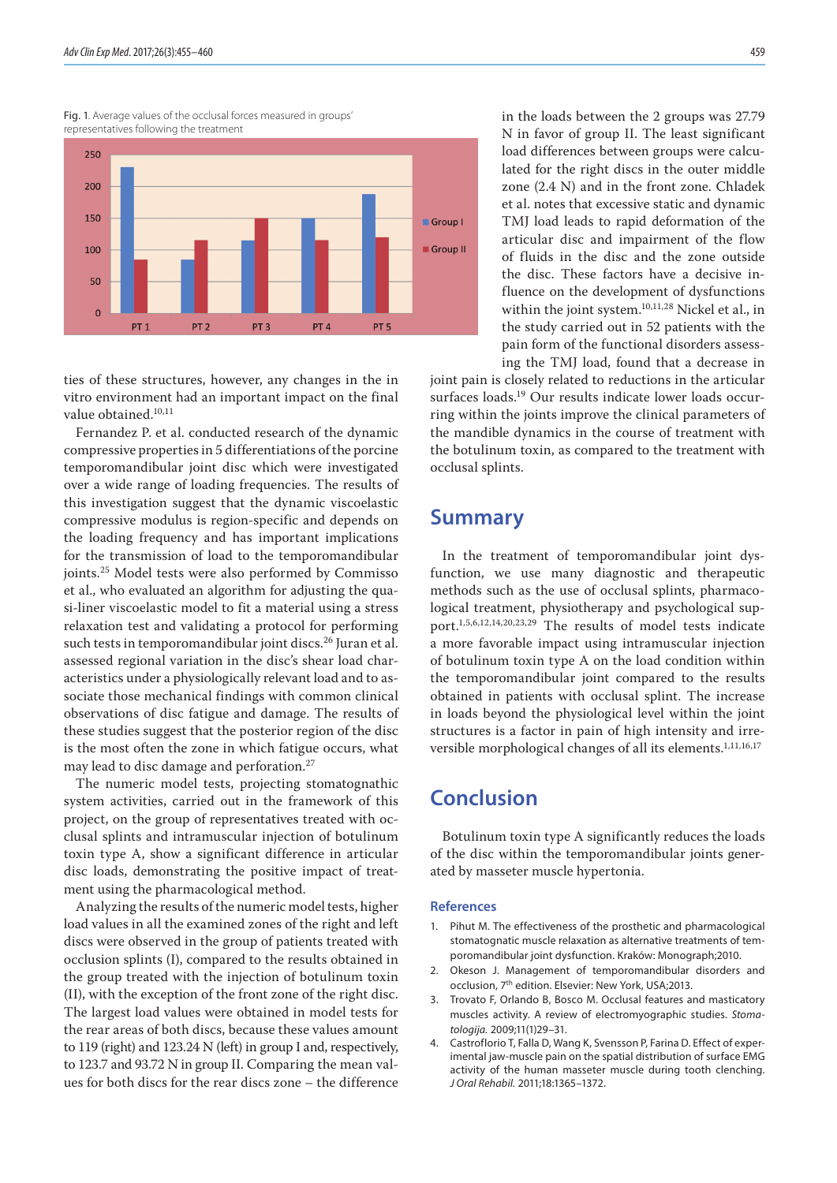Fig. 1. Average values of the occlusal forces measured in groups' representatives following the treatment



ties of these structures, however, any changes in the in vitro environment had an important impact on the final value obtained.<sup>10,11</sup>

Fernandez P. et al. conducted research of the dynamic compressive properties in 5 differentiations of the porcine temporomandibular joint disc which were investigated over a wide range of loading frequencies. The results of this investigation suggest that the dynamic viscoelastic compressive modulus is region-specific and depends on the loading frequency and has important implications for the transmission of load to the temporomandibular joints.25 Model tests were also performed by Commisso et al., who evaluated an algorithm for adjusting the quasi-liner viscoelastic model to fit a material using a stress relaxation test and validating a protocol for performing such tests in temporomandibular joint discs.<sup>26</sup> Juran et al. assessed regional variation in the disc's shear load characteristics under a physiologically relevant load and to associate those mechanical findings with common clinical observations of disc fatigue and damage. The results of these studies suggest that the posterior region of the disc is the most often the zone in which fatigue occurs, what may lead to disc damage and perforation.<sup>27</sup>

The numeric model tests, projecting stomatognathic system activities, carried out in the framework of this project, on the group of representatives treated with occlusal splints and intramuscular injection of botulinum toxin type A, show a significant difference in articular disc loads, demonstrating the positive impact of treatment using the pharmacological method.

Analyzing the results of the numeric model tests, higher load values in all the examined zones of the right and left discs were observed in the group of patients treated with occlusion splints (I), compared to the results obtained in the group treated with the injection of botulinum toxin (II), with the exception of the front zone of the right disc. The largest load values were obtained in model tests for the rear areas of both discs, because these values amount to 119 (right) and 123.24 N (left) in group I and, respectively, to 123.7 and 93.72 N in group II. Comparing the mean values for both discs for the rear discs zone – the difference

in the loads between the 2 groups was 27.79 N in favor of group II. The least significant load differences between groups were calculated for the right discs in the outer middle zone (2.4 N) and in the front zone. Chladek et al. notes that excessive static and dynamic TMJ load leads to rapid deformation of the articular disc and impairment of the flow of fluids in the disc and the zone outside the disc. These factors have a decisive influence on the development of dysfunctions within the joint system.10,11,28 Nickel et al., in the study carried out in 52 patients with the pain form of the functional disorders assessing the TMJ load, found that a decrease in

joint pain is closely related to reductions in the articular surfaces loads.19 Our results indicate lower loads occurring within the joints improve the clinical parameters of the mandible dynamics in the course of treatment with the botulinum toxin, as compared to the treatment with occlusal splints.

### **Summary**

In the treatment of temporomandibular joint dysfunction, we use many diagnostic and therapeutic methods such as the use of occlusal splints, pharmacological treatment, physiotherapy and psychological support.1,5,6,12,14,20,23,29 The results of model tests indicate a more favorable impact using intramuscular injection of botulinum toxin type A on the load condition within the temporomandibular joint compared to the results obtained in patients with occlusal splint. The increase in loads beyond the physiological level within the joint structures is a factor in pain of high intensity and irreversible morphological changes of all its elements.<sup>1,11,16,17</sup>

## **Conclusion**

Botulinum toxin type A significantly reduces the loads of the disc within the temporomandibular joints generated by masseter muscle hypertonia.

#### **References**

- 1. Pihut M. The effectiveness of the prosthetic and pharmacological stomatognatic muscle relaxation as alternative treatments of temporomandibular joint dysfunction. Kraków: Monograph;2010.
- 2. Okeson J. Management of temporomandibular disorders and occlusion, 7<sup>th</sup> edition. Elsevier: New York, USA;2013.
- 3. Trovato F, Orlando B, Bosco M. Occlusal features and masticatory muscles activity. A review of electromyographic studies. *Stomatologija.* 2009;11(1)29–31.
- 4. Castroflorio T, Falla D, Wang K, Svensson P, Farina D. Effect of experimental jaw-muscle pain on the spatial distribution of surface EMG activity of the human masseter muscle during tooth clenching. *J Oral Rehabil.* 2011;18:1365–1372.